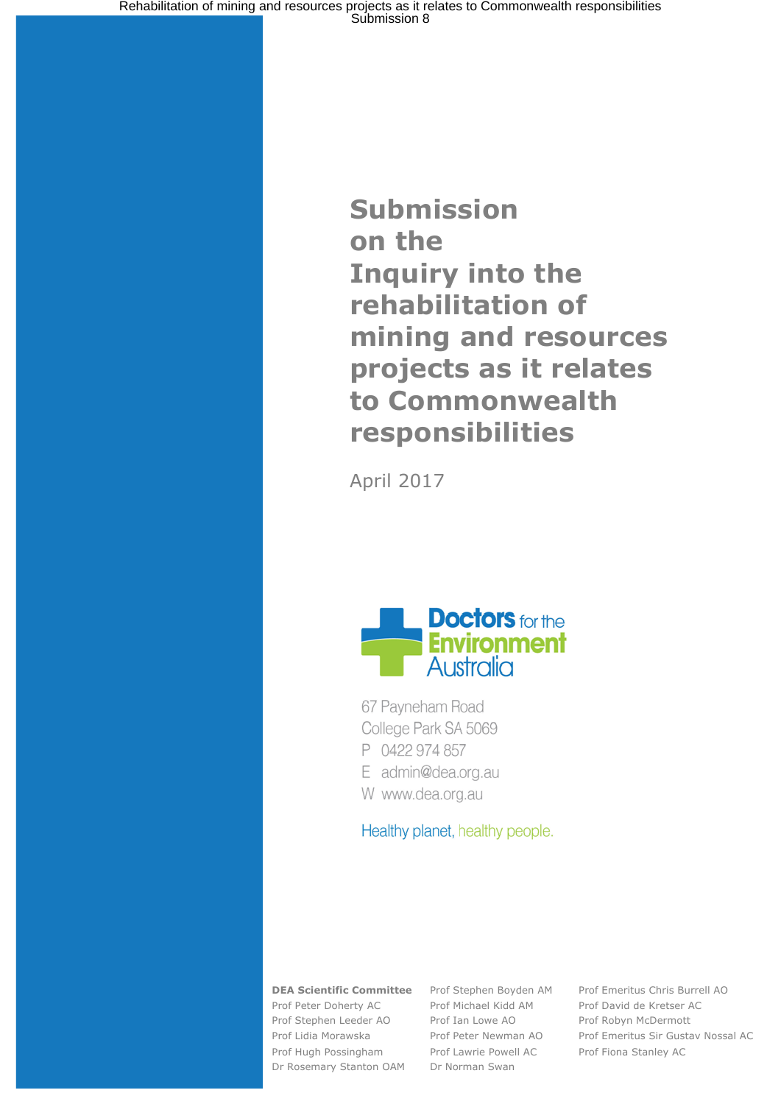# **Submission on the Inquiry into the rehabilitation of mining and resources projects as it relates to Commonwealth responsibilities**

April 2017



67 Payneham Road College Park SA 5069 P 0422 974 857 E admin@dea.org.au

W www.dea.org.au

Healthy planet, healthy people.

Prof Peter Doherty AC Prof Michael Kidd AM Prof David de Kretser AC Prof Stephen Leeder AO Prof Ian Lowe AO Prof Robyn McDermott Prof Hugh Possingham Prof Lawrie Powell AC Prof Fiona Stanley AC

Dr Rosemary Stanton OAM Dr Norman Swan

**DEA Scientific Committee** Prof Stephen Boyden AM Prof Emeritus Chris Burrell AO Prof Lidia Morawska Prof Peter Newman AO Prof Emeritus Sir Gustav Nossal AC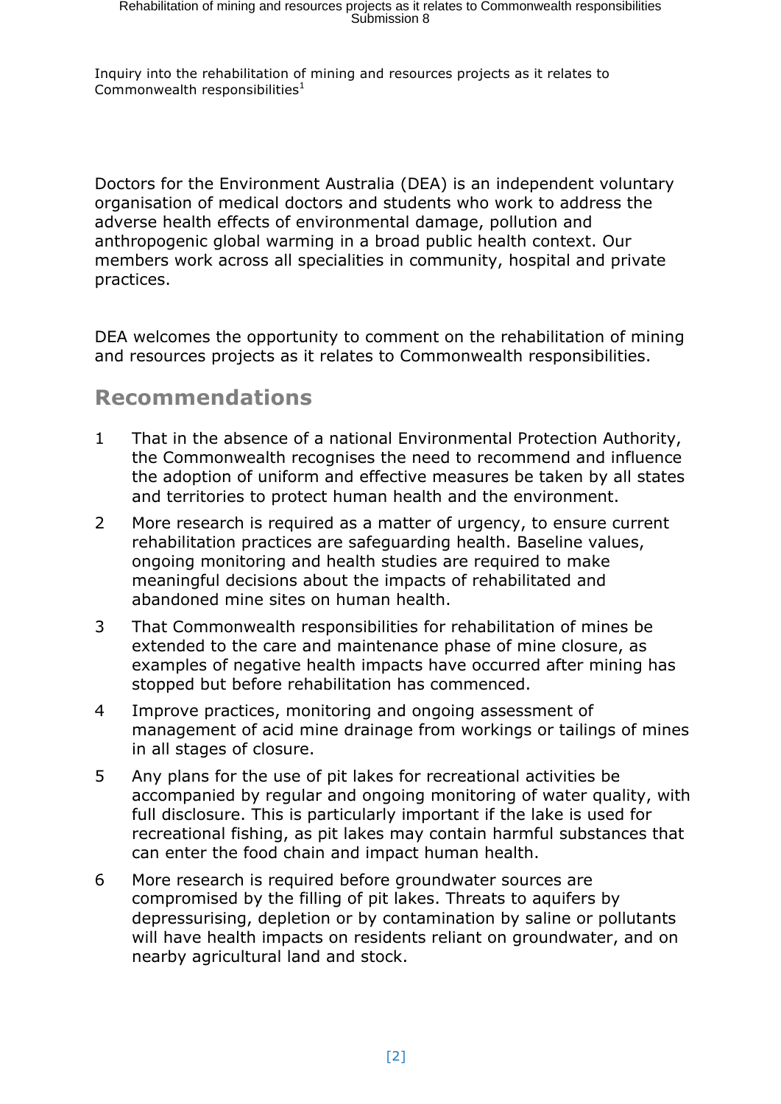Inquiry into the rehabilitation of mining and resources projects as it relates to Commonwealth responsibilities $1$ 

Doctors for the Environment Australia (DEA) is an independent voluntary organisation of medical doctors and students who work to address the adverse health effects of environmental damage, pollution and anthropogenic global warming in a broad public health context. Our members work across all specialities in community, hospital and private practices.

DEA welcomes the opportunity to comment on the rehabilitation of mining and resources projects as it relates to Commonwealth responsibilities.

## **Recommendations**

- 1 That in the absence of a national Environmental Protection Authority, the Commonwealth recognises the need to recommend and influence the adoption of uniform and effective measures be taken by all states and territories to protect human health and the environment.
- 2 More research is required as a matter of urgency, to ensure current rehabilitation practices are safeguarding health. Baseline values, ongoing monitoring and health studies are required to make meaningful decisions about the impacts of rehabilitated and abandoned mine sites on human health.
- 3 That Commonwealth responsibilities for rehabilitation of mines be extended to the care and maintenance phase of mine closure, as examples of negative health impacts have occurred after mining has stopped but before rehabilitation has commenced.
- 4 Improve practices, monitoring and ongoing assessment of management of acid mine drainage from workings or tailings of mines in all stages of closure.
- 5 Any plans for the use of pit lakes for recreational activities be accompanied by regular and ongoing monitoring of water quality, with full disclosure. This is particularly important if the lake is used for recreational fishing, as pit lakes may contain harmful substances that can enter the food chain and impact human health.
- 6 More research is required before groundwater sources are compromised by the filling of pit lakes. Threats to aquifers by depressurising, depletion or by contamination by saline or pollutants will have health impacts on residents reliant on groundwater, and on nearby agricultural land and stock.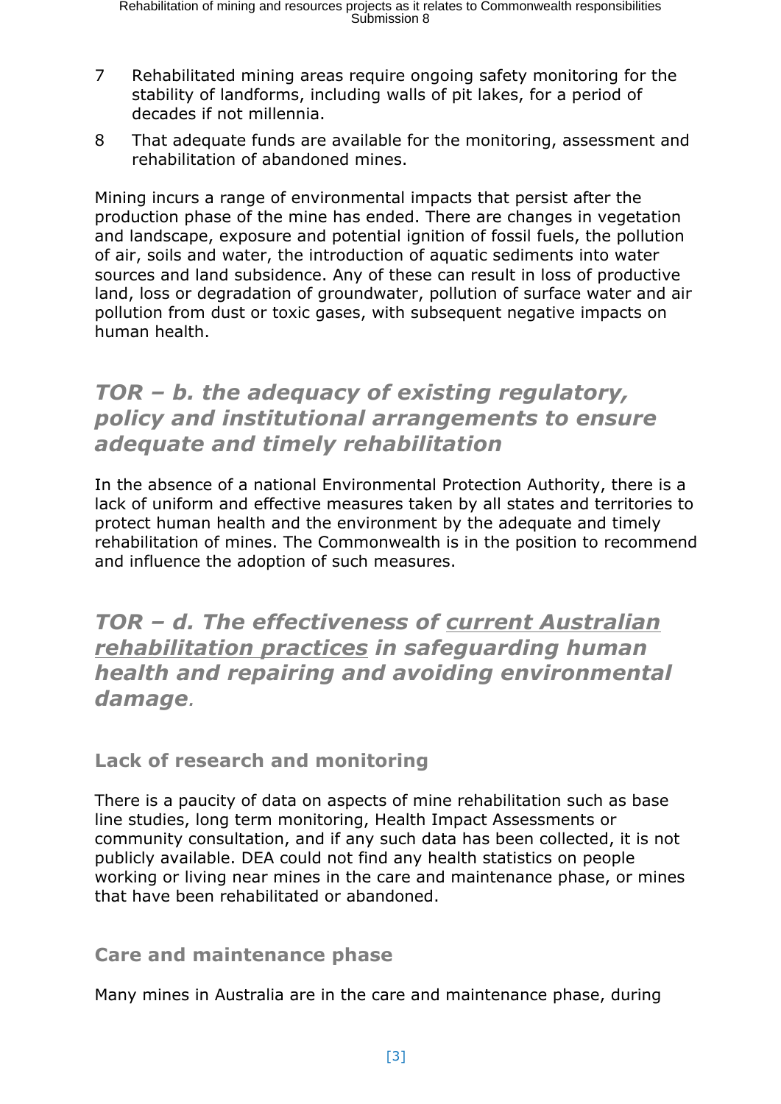- 7 Rehabilitated mining areas require ongoing safety monitoring for the stability of landforms, including walls of pit lakes, for a period of decades if not millennia.
- 8 That adequate funds are available for the monitoring, assessment and rehabilitation of abandoned mines.

Mining incurs a range of environmental impacts that persist after the production phase of the mine has ended. There are changes in vegetation and landscape, exposure and potential ignition of fossil fuels, the pollution of air, soils and water, the introduction of aquatic sediments into water sources and land subsidence. Any of these can result in loss of productive land, loss or degradation of groundwater, pollution of surface water and air pollution from dust or toxic gases, with subsequent negative impacts on human health.

## *TOR – b. the adequacy of existing regulatory, policy and institutional arrangements to ensure adequate and timely rehabilitation*

In the absence of a national Environmental Protection Authority, there is a lack of uniform and effective measures taken by all states and territories to protect human health and the environment by the adequate and timely rehabilitation of mines. The Commonwealth is in the position to recommend and influence the adoption of such measures.

*TOR – d. The effectiveness of current Australian rehabilitation practices in safeguarding human health and repairing and avoiding environmental damage.* 

**Lack of research and monitoring**

There is a paucity of data on aspects of mine rehabilitation such as base line studies, long term monitoring, Health Impact Assessments or community consultation, and if any such data has been collected, it is not publicly available. DEA could not find any health statistics on people working or living near mines in the care and maintenance phase, or mines that have been rehabilitated or abandoned.

#### **Care and maintenance phase**

Many mines in Australia are in the care and maintenance phase, during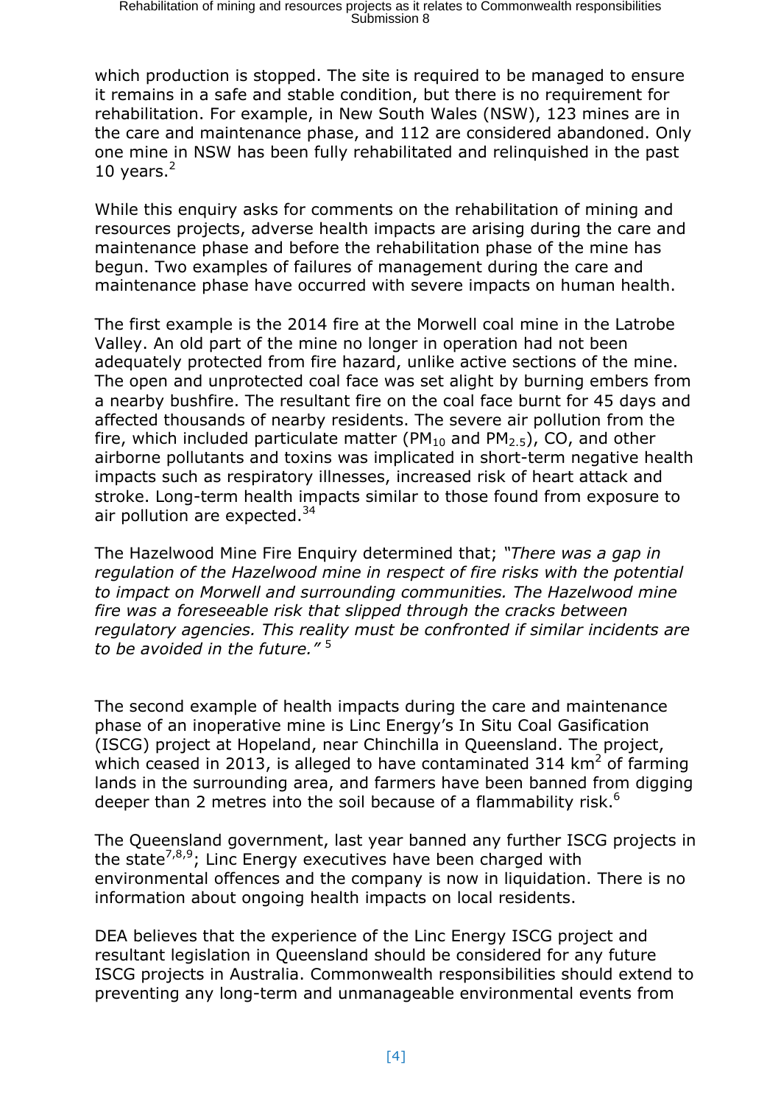which production is stopped. The site is required to be managed to ensure it remains in a safe and stable condition, but there is no requirement for rehabilitation. For example, in New South Wales (NSW), 123 mines are in the care and maintenance phase, and 112 are considered abandoned. Only one mine in NSW has been fully rehabilitated and relinquished in the past 10 years. $<sup>2</sup>$ </sup>

While this enquiry asks for comments on the rehabilitation of mining and resources projects, adverse health impacts are arising during the care and maintenance phase and before the rehabilitation phase of the mine has begun. Two examples of failures of management during the care and maintenance phase have occurred with severe impacts on human health.

The first example is the 2014 fire at the Morwell coal mine in the Latrobe Valley. An old part of the mine no longer in operation had not been adequately protected from fire hazard, unlike active sections of the mine. The open and unprotected coal face was set alight by burning embers from a nearby bushfire. The resultant fire on the coal face burnt for 45 days and affected thousands of nearby residents. The severe air pollution from the fire, which included particulate matter ( $PM_{10}$  and  $PM_{2.5}$ ), CO, and other airborne pollutants and toxins was implicated in short-term negative health impacts such as respiratory illnesses, increased risk of heart attack and stroke. Long-term health impacts similar to those found from exposure to air pollution are expected. $34$ 

The Hazelwood Mine Fire Enquiry determined that; *"There was a gap in regulation of the Hazelwood mine in respect of fire risks with the potential to impact on Morwell and surrounding communities. The Hazelwood mine fire was a foreseeable risk that slipped through the cracks between regulatory agencies. This reality must be confronted if similar incidents are to be avoided in the future."* <sup>5</sup>

The second example of health impacts during the care and maintenance phase of an inoperative mine is Linc Energy's In Situ Coal Gasification (ISCG) project at Hopeland, near Chinchilla in Queensland. The project, which ceased in 2013, is alleged to have contaminated 314  $km^2$  of farming lands in the surrounding area, and farmers have been banned from digging deeper than 2 metres into the soil because of a flammability risk.<sup>6</sup>

The Queensland government, last year banned any further ISCG projects in the state<sup>7,8,9</sup>; Linc Energy executives have been charged with environmental offences and the company is now in liquidation. There is no information about ongoing health impacts on local residents.

DEA believes that the experience of the Linc Energy ISCG project and resultant legislation in Queensland should be considered for any future ISCG projects in Australia. Commonwealth responsibilities should extend to preventing any long-term and unmanageable environmental events from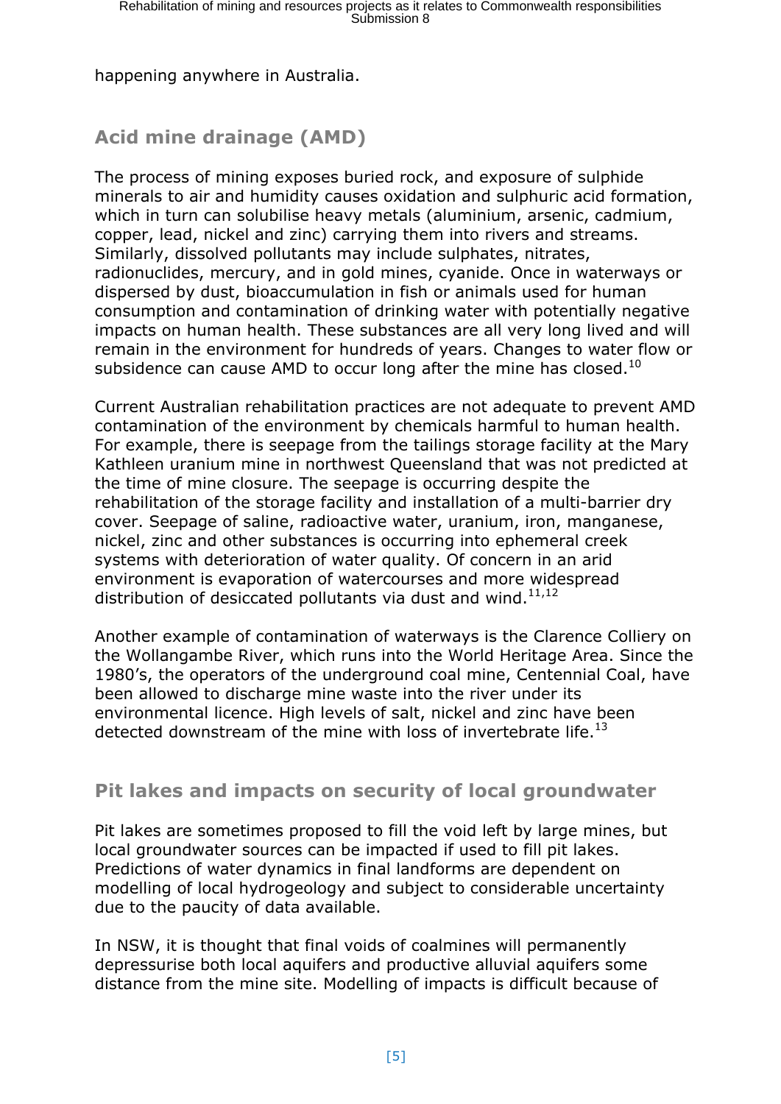happening anywhere in Australia.

## **Acid mine drainage (AMD)**

The process of mining exposes buried rock, and exposure of sulphide minerals to air and humidity causes oxidation and sulphuric acid formation, which in turn can solubilise heavy metals (aluminium, arsenic, cadmium, copper, lead, nickel and zinc) carrying them into rivers and streams. Similarly, dissolved pollutants may include sulphates, nitrates, radionuclides, mercury, and in gold mines, cyanide. Once in waterways or dispersed by dust, bioaccumulation in fish or animals used for human consumption and contamination of drinking water with potentially negative impacts on human health. These substances are all very long lived and will remain in the environment for hundreds of years. Changes to water flow or subsidence can cause AMD to occur long after the mine has closed. $^{10}$ 

Current Australian rehabilitation practices are not adequate to prevent AMD contamination of the environment by chemicals harmful to human health. For example, there is seepage from the tailings storage facility at the Mary Kathleen uranium mine in northwest Queensland that was not predicted at the time of mine closure. The seepage is occurring despite the rehabilitation of the storage facility and installation of a multi-barrier dry cover. Seepage of saline, radioactive water, uranium, iron, manganese, nickel, zinc and other substances is occurring into ephemeral creek systems with deterioration of water quality. Of concern in an arid environment is evaporation of watercourses and more widespread distribution of desiccated pollutants via dust and wind. $11,12$ 

Another example of contamination of waterways is the Clarence Colliery on the Wollangambe River, which runs into the World Heritage Area. Since the 1980's, the operators of the underground coal mine, Centennial Coal, have been allowed to discharge mine waste into the river under its environmental licence. High levels of salt, nickel and zinc have been detected downstream of the mine with loss of invertebrate life.<sup>13</sup>

### **Pit lakes and impacts on security of local groundwater**

Pit lakes are sometimes proposed to fill the void left by large mines, but local groundwater sources can be impacted if used to fill pit lakes. Predictions of water dynamics in final landforms are dependent on modelling of local hydrogeology and subject to considerable uncertainty due to the paucity of data available.

In NSW, it is thought that final voids of coalmines will permanently depressurise both local aquifers and productive alluvial aquifers some distance from the mine site. Modelling of impacts is difficult because of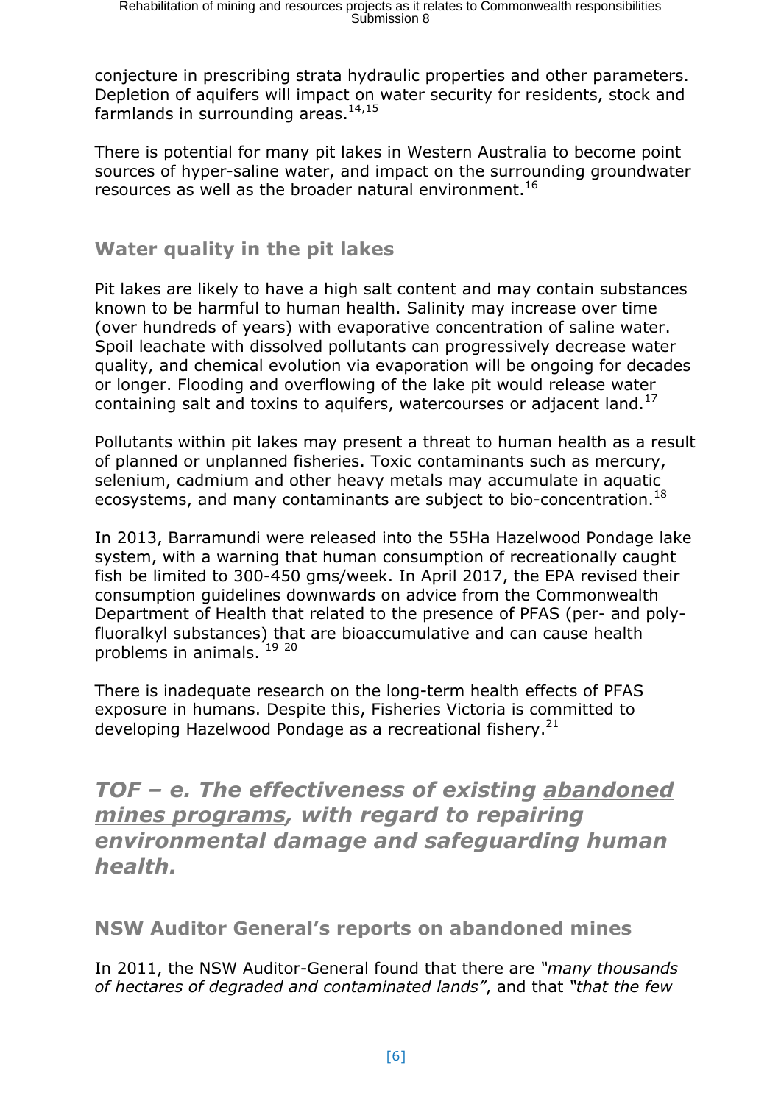conjecture in prescribing strata hydraulic properties and other parameters. Depletion of aquifers will impact on water security for residents, stock and farmlands in surrounding areas. $14,15$ 

There is potential for many pit lakes in Western Australia to become point sources of hyper-saline water, and impact on the surrounding groundwater resources as well as the broader natural environment.<sup>16</sup>

#### **Water quality in the pit lakes**

Pit lakes are likely to have a high salt content and may contain substances known to be harmful to human health. Salinity may increase over time (over hundreds of years) with evaporative concentration of saline water. Spoil leachate with dissolved pollutants can progressively decrease water quality, and chemical evolution via evaporation will be ongoing for decades or longer. Flooding and overflowing of the lake pit would release water containing salt and toxins to aquifers, watercourses or adjacent land. $^{17}$ 

Pollutants within pit lakes may present a threat to human health as a result of planned or unplanned fisheries. Toxic contaminants such as mercury, selenium, cadmium and other heavy metals may accumulate in aquatic ecosystems, and many contaminants are subject to bio-concentration.<sup>18</sup>

In 2013, Barramundi were released into the 55Ha Hazelwood Pondage lake system, with a warning that human consumption of recreationally caught fish be limited to 300-450 gms/week. In April 2017, the EPA revised their consumption guidelines downwards on advice from the Commonwealth Department of Health that related to the presence of PFAS (per- and polyfluoralkyl substances) that are bioaccumulative and can cause health problems in animals. <sup>19 20</sup>

There is inadequate research on the long-term health effects of PFAS exposure in humans. Despite this, Fisheries Victoria is committed to developing Hazelwood Pondage as a recreational fishery.<sup>21</sup>

*TOF – e. The effectiveness of existing abandoned mines programs, with regard to repairing environmental damage and safeguarding human health.* 

**NSW Auditor General's reports on abandoned mines**

In 2011, the NSW Auditor-General found that there are *"many thousands of hectares of degraded and contaminated lands"*, and that *"that the few*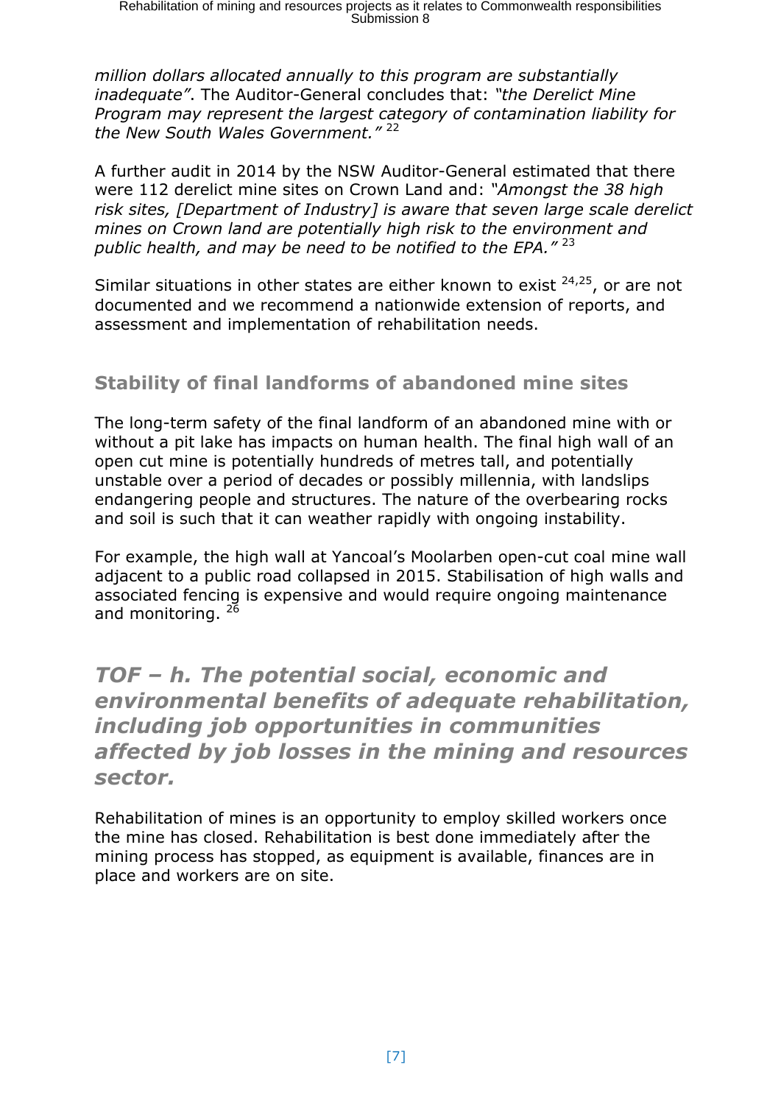*million dollars allocated annually to this program are substantially inadequate"*. The Auditor-General concludes that: *"the Derelict Mine Program may represent the largest category of contamination liability for the New South Wales Government."* <sup>22</sup>

A further audit in 2014 by the NSW Auditor-General estimated that there were 112 derelict mine sites on Crown Land and: *"Amongst the 38 high risk sites, [Department of Industry] is aware that seven large scale derelict mines on Crown land are potentially high risk to the environment and public health, and may be need to be notified to the EPA."* <sup>23</sup>

Similar situations in other states are either known to exist  $24.25$ , or are not documented and we recommend a nationwide extension of reports, and assessment and implementation of rehabilitation needs.

## **Stability of final landforms of abandoned mine sites**

The long-term safety of the final landform of an abandoned mine with or without a pit lake has impacts on human health. The final high wall of an open cut mine is potentially hundreds of metres tall, and potentially unstable over a period of decades or possibly millennia, with landslips endangering people and structures. The nature of the overbearing rocks and soil is such that it can weather rapidly with ongoing instability.

For example, the high wall at Yancoal's Moolarben open-cut coal mine wall adjacent to a public road collapsed in 2015. Stabilisation of high walls and associated fencing is expensive and would require ongoing maintenance and monitoring.<sup>26</sup>

# *TOF – h. The potential social, economic and environmental benefits of adequate rehabilitation, including job opportunities in communities affected by job losses in the mining and resources sector.*

Rehabilitation of mines is an opportunity to employ skilled workers once the mine has closed. Rehabilitation is best done immediately after the mining process has stopped, as equipment is available, finances are in place and workers are on site.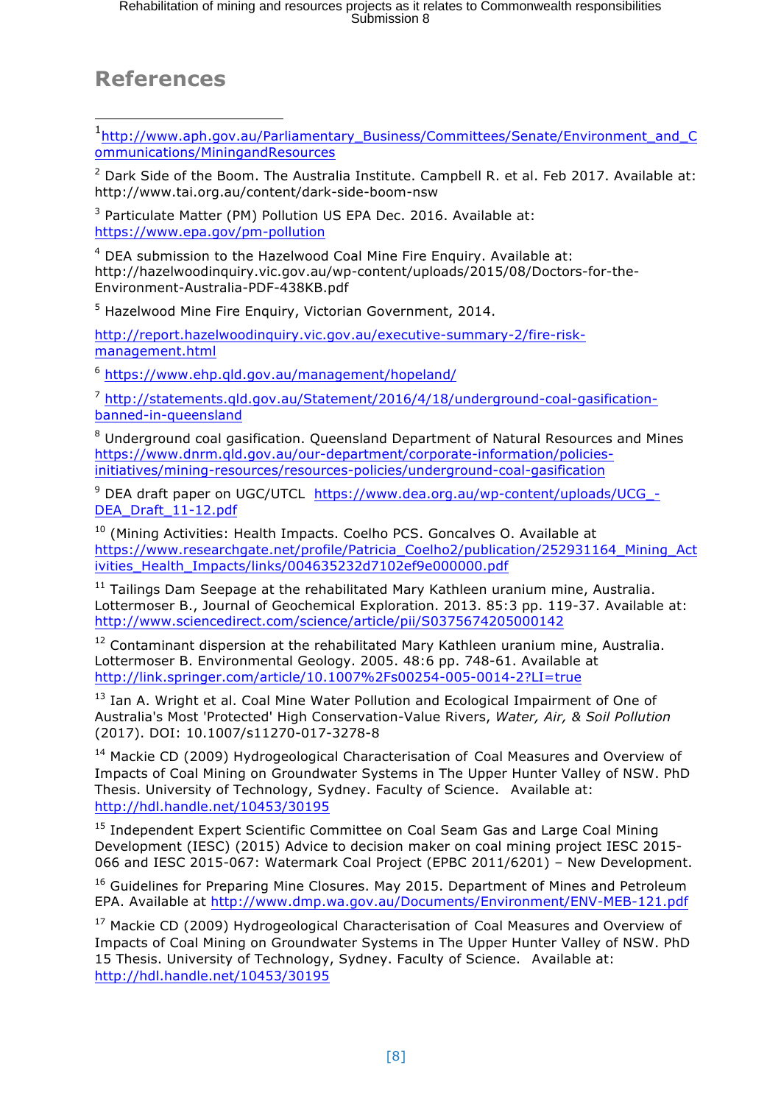## **References**

l

1 http://www.aph.gov.au/Parliamentary\_Business/Committees/Senate/Environment\_and\_C ommunications/MiningandResources

 $2$  Dark Side of the Boom. The Australia Institute. Campbell R. et al. Feb 2017. Available at: http://www.tai.org.au/content/dark-side-boom-nsw

<sup>3</sup> Particulate Matter (PM) Pollution US EPA Dec. 2016. Available at: https://www.epa.gov/pm-pollution

<sup>4</sup> DEA submission to the Hazelwood Coal Mine Fire Enquiry. Available at: http://hazelwoodinquiry.vic.gov.au/wp-content/uploads/2015/08/Doctors-for-the-Environment-Australia-PDF-438KB.pdf

<sup>5</sup> Hazelwood Mine Fire Enquiry, Victorian Government, 2014.

http://report.hazelwoodinquiry.vic.gov.au/executive-summary-2/fire-riskmanagement.html

<sup>6</sup> https://www.ehp.qld.gov.au/management/hopeland/

<sup>7</sup> http://statements.qld.gov.au/Statement/2016/4/18/underground-coal-gasificationbanned-in-queensland

<sup>8</sup> Underground coal gasification. Queensland Department of Natural Resources and Mines https://www.dnrm.qld.gov.au/our-department/corporate-information/policiesinitiatives/mining-resources/resources-policies/underground-coal-gasification

<sup>9</sup> DEA draft paper on UGC/UTCL https://www.dea.org.au/wp-content/uploads/UCG\_- DEA\_Draft\_11-12.pdf

 $10$  (Mining Activities: Health Impacts. Coelho PCS. Goncalves O. Available at https://www.researchgate.net/profile/Patricia\_Coelho2/publication/252931164\_Mining\_Act ivities\_Health\_Impacts/links/004635232d7102ef9e000000.pdf

 $11$  Tailings Dam Seepage at the rehabilitated Mary Kathleen uranium mine, Australia. Lottermoser B., Journal of Geochemical Exploration. 2013. 85:3 pp. 119-37. Available at: http://www.sciencedirect.com/science/article/pii/S0375674205000142

<sup>12</sup> Contaminant dispersion at the rehabilitated Mary Kathleen uranium mine, Australia. Lottermoser B. Environmental Geology. 2005. 48:6 pp. 748-61. Available at http://link.springer.com/article/10.1007%2Fs00254-005-0014-2?LI=true

<sup>13</sup> Ian A. Wright et al. Coal Mine Water Pollution and Ecological Impairment of One of Australia's Most 'Protected' High Conservation-Value Rivers, *Water, Air, & Soil Pollution* (2017). DOI: 10.1007/s11270-017-3278-8

<sup>14</sup> Mackie CD (2009) Hydrogeological Characterisation of Coal Measures and Overview of Impacts of Coal Mining on Groundwater Systems in The Upper Hunter Valley of NSW. PhD Thesis. University of Technology, Sydney. Faculty of Science. Available at: http://hdl.handle.net/10453/30195

<sup>15</sup> Independent Expert Scientific Committee on Coal Seam Gas and Large Coal Mining Development (IESC) (2015) Advice to decision maker on coal mining project IESC 2015- 066 and IESC 2015-067: Watermark Coal Project (EPBC 2011/6201) – New Development.

<sup>16</sup> Guidelines for Preparing Mine Closures. May 2015. Department of Mines and Petroleum EPA. Available at http://www.dmp.wa.gov.au/Documents/Environment/ENV-MEB-121.pdf

<sup>17</sup> Mackie CD (2009) Hydrogeological Characterisation of Coal Measures and Overview of Impacts of Coal Mining on Groundwater Systems in The Upper Hunter Valley of NSW. PhD 15 Thesis. University of Technology, Sydney. Faculty of Science. Available at: http://hdl.handle.net/10453/30195